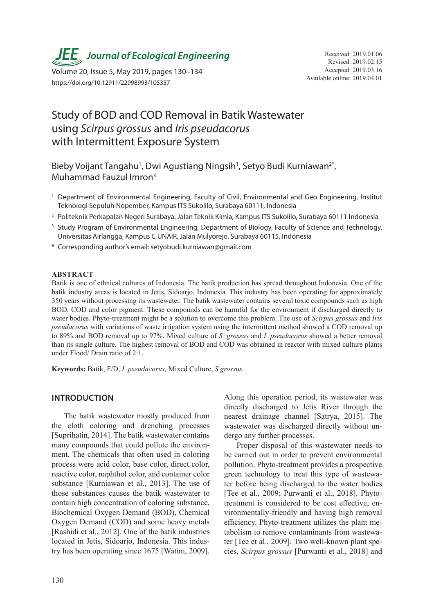

Available online: 2019.04.01 Volume 20, Issue 5, May 2019, pages 130–134 https://doi.org/10.12911/22998993/105357

# Study of BOD and COD Removal in Batik Wastewater using *Scirpus grossus* and *Iris pseudacorus* with Intermittent Exposure System

Bieby Voijant Tangahu<sup>1</sup>, Dwi Agustiang Ningsih<sup>1</sup>, Setyo Budi Kurniawan<sup>2\*</sup>, Muhammad Fauzul Imron3

- <sup>1</sup> Department of Environmental Engineering, Faculty of Civil, Environmental and Geo Engineering, Institut Teknologi Sepuluh Nopember, Kampus ITS Sukolilo, Surabaya 60111, Indonesia
- <sup>2</sup> Politeknik Perkapalan Negeri Surabaya, Jalan Teknik Kimia, Kampus ITS Sukolilo, Surabaya 60111 Indonesia
- <sup>3</sup> Study Program of Environmental Engineering, Department of Biology, Faculty of Science and Technology, Universitas Airlangga, Kampus C UNAIR, Jalan Mulyorejo, Surabaya 60115, Indonesia
- \* Corresponding author's email: setyobudi.kurniawan@gmail.com

## **ABSTRACT**

Batik is one of ethnical cultures of Indonesia. The batik production has spread throughout Indonesia. One of the batik industry areas is located in Jetis, Sidoarjo, Indonesia. This industry has been operating for approximately 350 years without processing its wastewater. The batik wastewater contains several toxic compounds such as high BOD, COD and color pigment. These compounds can be harmful for the environment if discharged directly to water bodies. Phyto-treatment might be a solution to overcome this problem. The use of *Scirpus grossus* and *Iris pseudacorus* with variations of waste irrigation system using the intermittent method showed a COD removal up to 89% and BOD removal up to 97%. Mixed culture of *S. grossus* and *I. pseudacorus* showed a better removal than its single culture. The highest removal of BOD and COD was obtained in reactor with mixed culture plants under Flood/ Drain ratio of 2:1.

**Keywords:** Batik, F/D, *I. pseudacorus,* Mixed Culture, *S.grossus.*

# **INTRODUCTION**

The batik wastewater mostly produced from the cloth coloring and drenching processes [Suprihatin, 2014]. The batik wastewater contains many compounds that could pollute the environment. The chemicals that often used in coloring process were acid color, base color, direct color, reactive color, naphthol color, and container color substance [Kurniawan et al., 2013]. The use of those substances causes the batik wastewater to contain high concentration of coloring substance, Biochemical Oxygen Demand (BOD), Chemical Oxygen Demand (COD) and some heavy metals [Rashidi et al., 2012]. One of the batik industries located in Jetis, Sidoarjo, Indonesia. This industry has been operating since 1675 [Watini, 2009].

Along this operation period, its wastewater was directly discharged to Jetis River through the nearest drainage channel [Satrya, 2015]. The wastewater was discharged directly without undergo any further processes.

Proper disposal of this wastewater needs to be carried out in order to prevent environmental pollution. Phyto-treatment provides a prospective green technology to treat this type of wastewater before being discharged to the water bodies [Tee et al., 2009; Purwanti et al., 2018]. Phytotreatment is considered to be cost effective, environmentally-friendly and having high removal efficiency. Phyto-treatment utilizes the plant metabolism to remove contaminants from wastewater [Tee et al., 2009]. Two well-known plant species, *Scirpus grossus* [Purwanti et al., 2018] and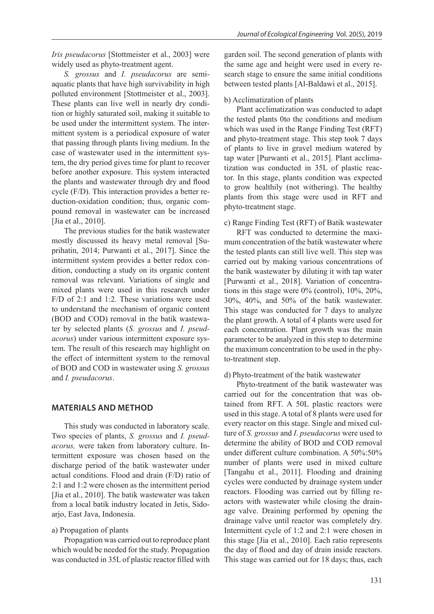*Iris pseudacorus* [Stottmeister et al., 2003] were widely used as phyto-treatment agent.

*S. grossus* and *I. pseudacorus* are semiaquatic plants that have high survivability in high polluted environment [Stottmeister et al., 2003]. These plants can live well in nearly dry condition or highly saturated soil, making it suitable to be used under the intermittent system. The intermittent system is a periodical exposure of water that passing through plants living medium. In the case of wastewater used in the intermittent system, the dry period gives time for plant to recover before another exposure. This system interacted the plants and wastewater through dry and flood cycle (F/D). This interaction provides a better reduction-oxidation condition; thus, organic compound removal in wastewater can be increased [Jia et al., 2010].

The previous studies for the batik wastewater mostly discussed its heavy metal removal [Suprihatin, 2014; Purwanti et al., 2017]. Since the intermittent system provides a better redox condition, conducting a study on its organic content removal was relevant. Variations of single and mixed plants were used in this research under F/D of 2:1 and 1:2. These variations were used to understand the mechanism of organic content (BOD and COD) removal in the batik wastewater by selected plants (*S. grossus* and *I. pseudacorus*) under various intermittent exposure system. The result of this research may highlight on the effect of intermittent system to the removal of BOD and COD in wastewater using *S. grossus* and *I. pseudacorus*.

# **MATERIALS AND METHOD**

This study was conducted in laboratory scale. Two species of plants, *S. grossus* and *I. pseudacorus,* were taken from laboratory culture. Intermittent exposure was chosen based on the discharge period of the batik wastewater under actual conditions. Flood and drain (F/D) ratio of 2:1 and 1:2 were chosen as the intermittent period [Jia et al., 2010]. The batik wastewater was taken from a local batik industry located in Jetis, Sidoarjo, East Java, Indonesia.

# a) Propagation of plants

Propagation was carried out to reproduce plant which would be needed for the study. Propagation was conducted in 35L of plastic reactor filled with

garden soil. The second generation of plants with the same age and height were used in every research stage to ensure the same initial conditions between tested plants [Al-Baldawi et al., 2015].

# b) Acclimatization of plants

Plant acclimatization was conducted to adapt the tested plants 0to the conditions and medium which was used in the Range Finding Test (RFT) and phyto-treatment stage. This step took 7 days of plants to live in gravel medium watered by tap water [Purwanti et al., 2015]. Plant acclimatization was conducted in 35L of plastic reactor. In this stage, plants condition was expected to grow healthily (not withering). The healthy plants from this stage were used in RFT and phyto-treatment stage.

c) Range Finding Test (RFT) of Batik wastewater

RFT was conducted to determine the maximum concentration of the batik wastewater where the tested plants can still live well. This step was carried out by making various concentrations of the batik wastewater by diluting it with tap water [Purwanti et al., 2018]. Variation of concentrations in this stage were 0% (control), 10%, 20%, 30%, 40%, and 50% of the batik wastewater. This stage was conducted for 7 days to analyze the plant growth. A total of 4 plants were used for each concentration. Plant growth was the main parameter to be analyzed in this step to determine the maximum concentration to be used in the phyto-treatment step.

## d) Phyto-treatment of the batik wastewater

Phyto-treatment of the batik wastewater was carried out for the concentration that was obtained from RFT. A 50L plastic reactors were used in this stage. A total of 8 plants were used for every reactor on this stage. Single and mixed culture of *S. grossus* and *I*. *pseudacorus* were used to determine the ability of BOD and COD removal under different culture combination. A 50%:50% number of plants were used in mixed culture [Tangahu et al., 2011]. Flooding and draining cycles were conducted by drainage system under reactors. Flooding was carried out by filling reactors with wastewater while closing the drainage valve. Draining performed by opening the drainage valve until reactor was completely dry. Intermittent cycle of 1:2 and 2:1 were chosen in this stage [Jia et al., 2010]. Each ratio represents the day of flood and day of drain inside reactors. This stage was carried out for 18 days; thus, each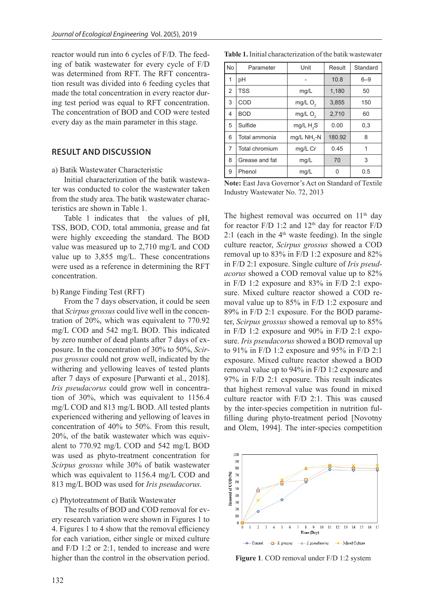reactor would run into 6 cycles of F/D. The feeding of batik wastewater for every cycle of F/D was determined from RFT. The RFT concentration result was divided into 6 feeding cycles that made the total concentration in every reactor during test period was equal to RFT concentration. The concentration of BOD and COD were tested every day as the main parameter in this stage.

# **RESULT AND DISCUSSION**

#### a) Batik Wastewater Characteristic

Initial characterization of the batik wastewater was conducted to color the wastewater taken from the study area. The batik wastewater characteristics are shown in Table 1.

Table 1 indicates that the values of pH, TSS, BOD, COD, total ammonia, grease and fat were highly exceeding the standard. The BOD value was measured up to 2,710 mg/L and COD value up to 3,855 mg/L. These concentrations were used as a reference in determining the RFT concentration.

## b) Range Finding Test (RFT)

From the 7 days observation, it could be seen that *Scirpus grossus* could live well in the concentration of 20%, which was equivalent to 770.92 mg/L COD and 542 mg/L BOD. This indicated by zero number of dead plants after 7 days of exposure. In the concentration of 30% to 50%, *Scirpus grossus* could not grow well, indicated by the withering and yellowing leaves of tested plants after 7 days of exposure [Purwanti et al., 2018]. *Iris pseudacorus* could grow well in concentration of 30%, which was equivalent to 1156.4 mg/L COD and 813 mg/L BOD. All tested plants experienced withering and yellowing of leaves in concentration of 40% to 50%. From this result, 20%, of the batik wastewater which was equivalent to 770.92 mg/L COD and 542 mg/L BOD was used as phyto-treatment concentration for *Scirpus grossus* while 30% of batik wastewater which was equivalent to 1156.4 mg/L COD and 813 mg/L BOD was used for *Iris pseudacorus.*

#### c) Phytotreatment of Batik Wastewater

The results of BOD and COD removal for every research variation were shown in Figures 1 to 4. Figures 1 to 4 show that the removal efficiency for each variation, either single or mixed culture and F/D 1:2 or 2:1, tended to increase and were higher than the control in the observation period.

| Table 1. Initial characterization of the batik wastewater |  |
|-----------------------------------------------------------|--|
|-----------------------------------------------------------|--|

| <b>No</b> | Parameter      | Unit                | Result | Standard |
|-----------|----------------|---------------------|--------|----------|
| 1         | pH             |                     | 10.8   | $6 - 9$  |
| 2         | <b>TSS</b>     | mg/L                | 1,180  | 50       |
| 3         | COD            | mg/L O <sub>2</sub> | 3,855  | 150      |
| 4         | <b>BOD</b>     | mg/L O <sub>2</sub> | 2,710  | 60       |
| 5         | Sulfide        | mg/L $H_2S$         | 0.00   | 0,3      |
| 6         | Total ammonia  | $mg/L NH2-N$        | 180.92 | 8        |
| 7         | Total chromium | mg/L Cr             | 0.45   | 1        |
| 8         | Grease and fat | mg/L                | 70     | 3        |
| 9         | Phenol         | mg/L                | 0      | 0.5      |

**Note:** East Java Governor's Act on Standard of Textile Industry Wastewater No. 72, 2013

The highest removal was occurred on 11<sup>th</sup> day for reactor  $F/D$  1:2 and 12<sup>th</sup> day for reactor  $F/D$ 2:1 (each in the  $4<sup>th</sup>$  waste feeding). In the single culture reactor, *Scirpus grossus* showed a COD removal up to 83% in F/D 1:2 exposure and 82% in F/D 2:1 exposure. Single culture of *Iris pseudacorus* showed a COD removal value up to 82% in F/D 1:2 exposure and 83% in F/D 2:1 exposure. Mixed culture reactor showed a COD removal value up to 85% in F/D 1:2 exposure and 89% in F/D 2:1 exposure. For the BOD parameter, *Scirpus grossus* showed a removal up to 85% in F/D 1:2 exposure and 90% in F/D 2:1 exposure. *Iris pseudacorus* showed a BOD removal up to 91% in F/D 1:2 exposure and 95% in F/D 2:1 exposure. Mixed culture reactor showed a BOD removal value up to 94% in F/D 1:2 exposure and 97% in F/D 2:1 exposure. This result indicates that highest removal value was found in mixed culture reactor with F/D 2:1. This was caused by the inter-species competition in nutrition fulfilling during phyto-treatment period [Novotny and Olem, 1994]. The inter-species competition



**Figure 1**. COD removal under F/D 1:2 system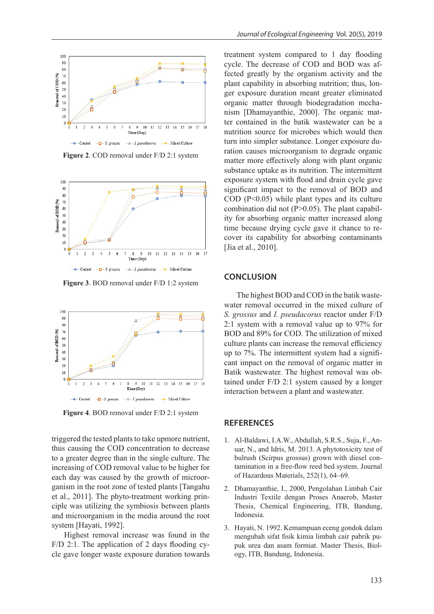

**Figure 2**. COD removal under F/D 2:1 system



**Figure 3**. BOD removal under F/D 1:2 system



**Figure 4**. BOD removal under F/D 2:1 system

triggered the tested plants to take upmore nutrient, thus causing the COD concentration to decrease to a greater degree than in the single culture. The increasing of COD removal value to be higher for each day was caused by the growth of microorganism in the root zone of tested plants [Tangahu et al., 2011]. The phyto-treatment working principle was utilizing the symbiosis between plants and microorganism in the media around the root system [Hayati, 1992].

Highest removal increase was found in the F/D 2:1. The application of 2 days flooding cycle gave longer waste exposure duration towards

treatment system compared to 1 day flooding cycle. The decrease of COD and BOD was affected greatly by the organism activity and the plant capability in absorbing nutrition; thus, longer exposure duration meant greater eliminated organic matter through biodegradation mechanism [Dhamayanthie, 2000]. The organic matter contained in the batik wastewater can be a nutrition source for microbes which would then turn into simpler substance. Longer exposure duration causes microorganism to degrade organic matter more effectively along with plant organic substance uptake as its nutrition. The intermittent exposure system with flood and drain cycle gave significant impact to the removal of BOD and  $\text{COD}$  (P<0.05) while plant types and its culture combination did not  $(P>0.05)$ . The plant capability for absorbing organic matter increased along time because drying cycle gave it chance to recover its capability for absorbing contaminants [Jia et al., 2010].

## **CONCLUSION**

The highest BOD and COD in the batik wastewater removal occurred in the mixed culture of *S. grossus* and *I. pseudacorus* reactor under F/D 2:1 system with a removal value up to 97% for BOD and 89% for COD. The utilization of mixed culture plants can increase the removal efficiency up to 7%. The intermittent system had a significant impact on the removal of organic matter in Batik wastewater. The highest removal was obtained under F/D 2:1 system caused by a longer interaction between a plant and wastewater.

#### **REFERENCES**

- 1. Al-Baldawi, I.A.W., Abdullah, S.R.S., Suja, F., Anuar, N., and Idris, M. 2013. A phytotoxicity test of bulrush (Scirpus grossus) grown with diesel contamination in a free-flow reed bed system. Journal of Hazardous Materials, 252(1), 64–69.
- 2. Dhamayanthie, I., 2000, Pengolahan Limbah Cair Industri Textile dengan Proses Anaerob, Master Thesis, Chemical Engineering, ITB, Bandung, Indonesia.
- 3. Hayati, N. 1992. Kemampuan eceng gondok dalam mengubah sifat fisik kimia limbah cair pabrik pupuk urea dan asam formiat. Master Thesis, Biology, ITB, Bandung, Indonesia.